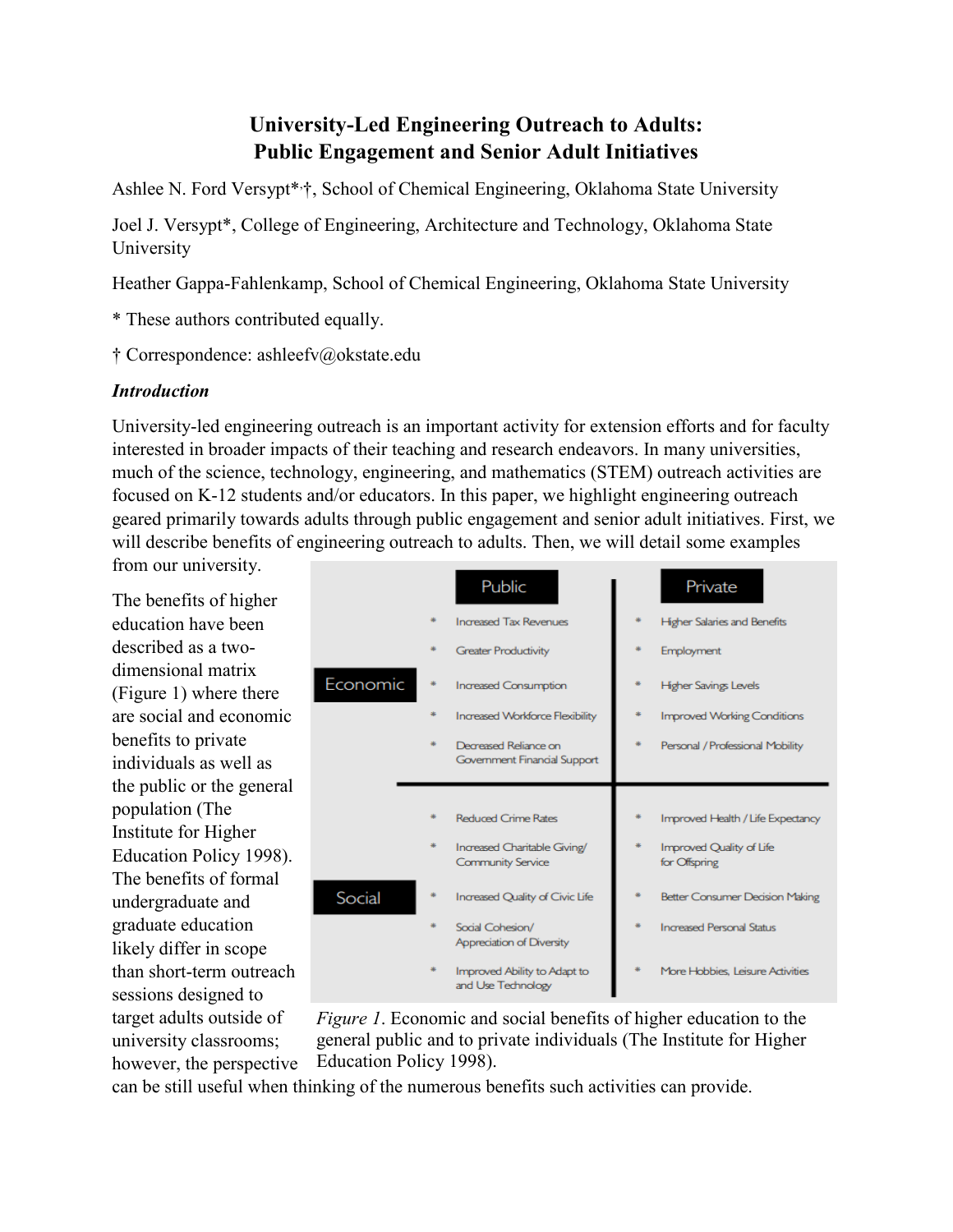# **University-Led Engineering Outreach to Adults: Public Engagement and Senior Adult Initiatives**

Ashlee N. Ford Versypt\*, †, School of Chemical Engineering, Oklahoma State University

Joel J. Versypt\*, College of Engineering, Architecture and Technology, Oklahoma State University

Heather Gappa-Fahlenkamp, School of Chemical Engineering, Oklahoma State University

\* These authors contributed equally.

† Correspondence: ashleefv@okstate.edu

### *Introduction*

University-led engineering outreach is an important activity for extension efforts and for faculty interested in broader impacts of their teaching and research endeavors. In many universities, much of the science, technology, engineering, and mathematics (STEM) outreach activities are focused on K-12 students and/or educators. In this paper, we highlight engineering outreach geared primarily towards adults through public engagement and senior adult initiatives. First, we will describe benefits of engineering outreach to adults. Then, we will detail some examples

from our university.

The benefits of higher education have been described as a twodimensional matrix [\(Figure 1\)](#page-0-0) where there are social and economic benefits to private individuals as well as the public or the general population (The Institute for Higher Education Policy 1998). The benefits of formal undergraduate and graduate education likely differ in scope than short-term outreach sessions designed to target adults outside of university classrooms; however, the perspective

|          | Public                                                   | Private                                   |
|----------|----------------------------------------------------------|-------------------------------------------|
|          | <b>Increased Tax Revenues</b>                            | <b>Higher Salaries and Benefits</b>       |
|          | <b>Greater Productivity</b>                              | Employment                                |
| Economic | <b>Increased Consumption</b>                             | <b>Higher Savings Levels</b>              |
|          | <b>Increased Workforce Flexibility</b>                   | <b>Improved Working Conditions</b>        |
|          | Decreased Reliance on<br>Government Financial Support    | Personal / Professional Mobility          |
|          |                                                          |                                           |
|          |                                                          |                                           |
|          | <b>Reduced Crime Rates</b>                               | Improved Health / Life Expectancy         |
|          | Increased Charitable Giving/<br><b>Community Service</b> | Improved Quality of Life<br>for Offspring |
| Social   | Increased Quality of Civic Life                          | <b>Better Consumer Decision Making</b>    |
|          | Social Cohesion/<br>Appreciation of Diversity            | <b>Increased Personal Status</b>          |

<span id="page-0-0"></span>*Figure 1*. Economic and social benefits of higher education to the general public and to private individuals (The Institute for Higher Education Policy 1998).

can be still useful when thinking of the numerous benefits such activities can provide.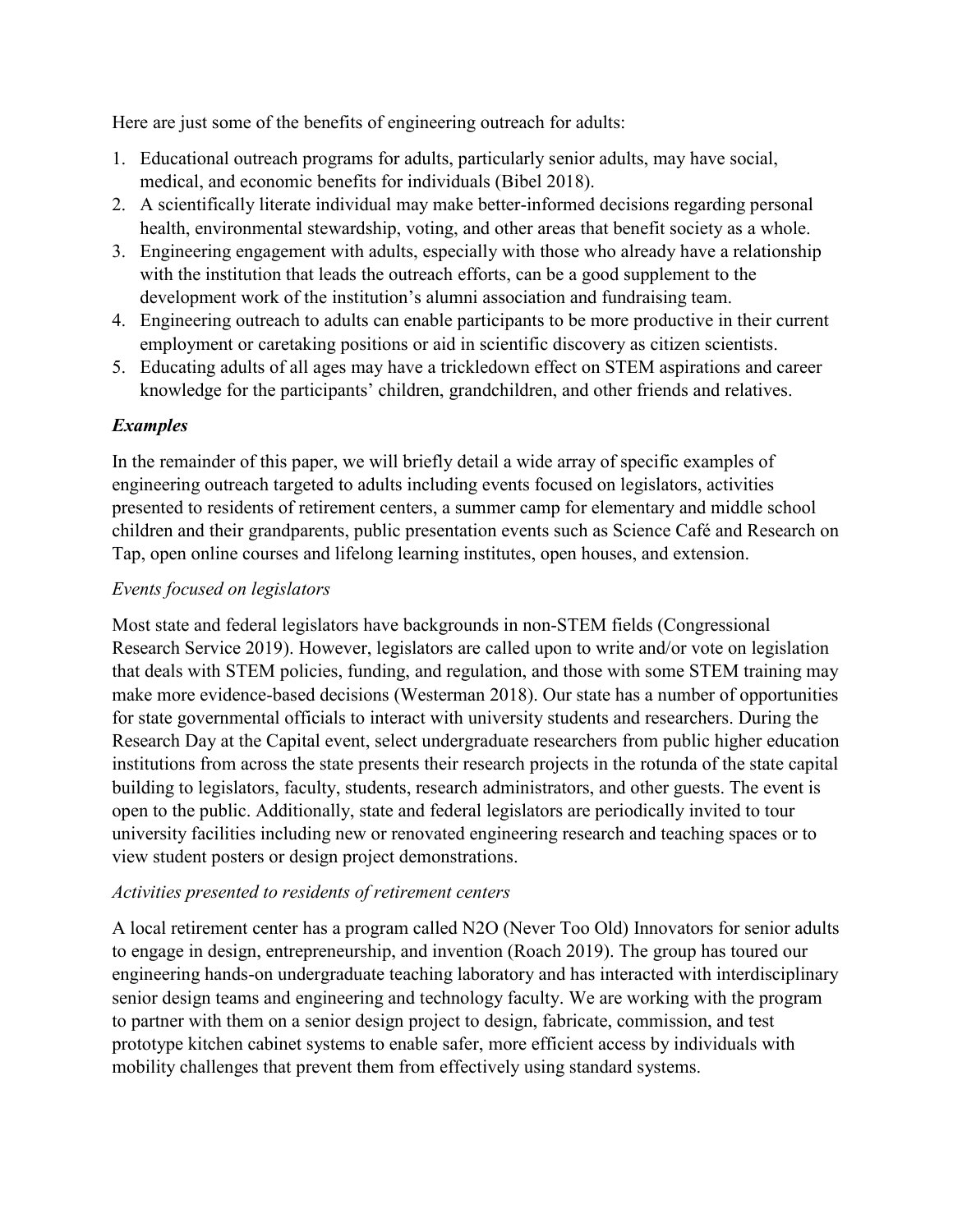Here are just some of the benefits of engineering outreach for adults:

- 1. Educational outreach programs for adults, particularly senior adults, may have social, medical, and economic benefits for individuals (Bibel 2018).
- 2. A scientifically literate individual may make better-informed decisions regarding personal health, environmental stewardship, voting, and other areas that benefit society as a whole.
- 3. Engineering engagement with adults, especially with those who already have a relationship with the institution that leads the outreach efforts, can be a good supplement to the development work of the institution's alumni association and fundraising team.
- 4. Engineering outreach to adults can enable participants to be more productive in their current employment or caretaking positions or aid in scientific discovery as citizen scientists.
- 5. Educating adults of all ages may have a trickledown effect on STEM aspirations and career knowledge for the participants' children, grandchildren, and other friends and relatives.

### *Examples*

In the remainder of this paper, we will briefly detail a wide array of specific examples of engineering outreach targeted to adults including events focused on legislators, activities presented to residents of retirement centers, a summer camp for elementary and middle school children and their grandparents, public presentation events such as Science Café and Research on Tap, open online courses and lifelong learning institutes, open houses, and extension.

### *Events focused on legislators*

Most state and federal legislators have backgrounds in non-STEM fields (Congressional Research Service 2019). However, legislators are called upon to write and/or vote on legislation that deals with STEM policies, funding, and regulation, and those with some STEM training may make more evidence-based decisions (Westerman 2018). Our state has a number of opportunities for state governmental officials to interact with university students and researchers. During the Research Day at the Capital event, select undergraduate researchers from public higher education institutions from across the state presents their research projects in the rotunda of the state capital building to legislators, faculty, students, research administrators, and other guests. The event is open to the public. Additionally, state and federal legislators are periodically invited to tour university facilities including new or renovated engineering research and teaching spaces or to view student posters or design project demonstrations.

#### *Activities presented to residents of retirement centers*

A local retirement center has a program called N2O (Never Too Old) Innovators for senior adults to engage in design, entrepreneurship, and invention (Roach 2019). The group has toured our engineering hands-on undergraduate teaching laboratory and has interacted with interdisciplinary senior design teams and engineering and technology faculty. We are working with the program to partner with them on a senior design project to design, fabricate, commission, and test prototype kitchen cabinet systems to enable safer, more efficient access by individuals with mobility challenges that prevent them from effectively using standard systems.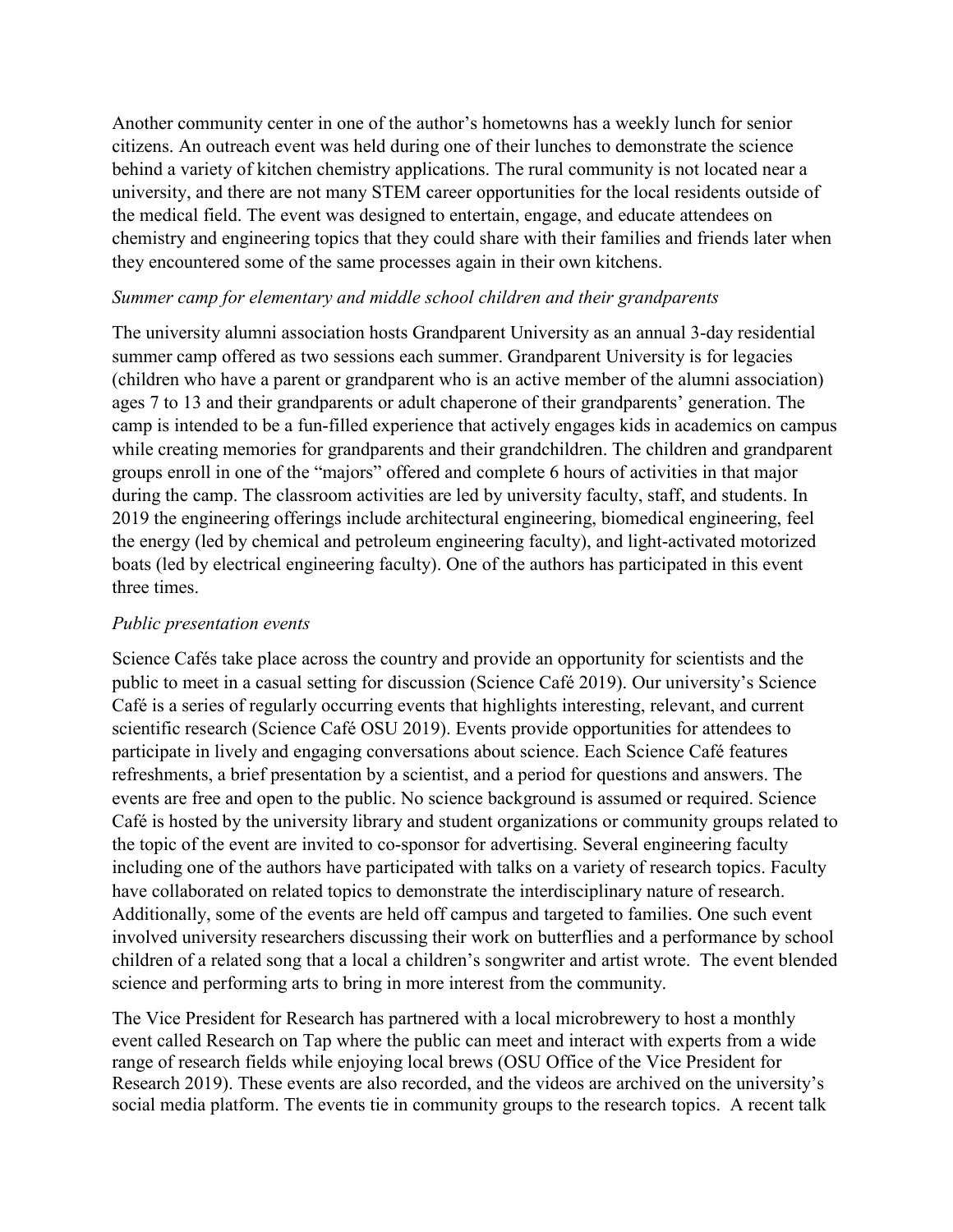Another community center in one of the author's hometowns has a weekly lunch for senior citizens. An outreach event was held during one of their lunches to demonstrate the science behind a variety of kitchen chemistry applications. The rural community is not located near a university, and there are not many STEM career opportunities for the local residents outside of the medical field. The event was designed to entertain, engage, and educate attendees on chemistry and engineering topics that they could share with their families and friends later when they encountered some of the same processes again in their own kitchens.

#### *Summer camp for elementary and middle school children and their grandparents*

The university alumni association hosts Grandparent University as an annual 3-day residential summer camp offered as two sessions each summer. Grandparent University is for legacies (children who have a parent or grandparent who is an active member of the alumni association) ages 7 to 13 and their grandparents or adult chaperone of their grandparents' generation. The camp is intended to be a fun-filled experience that actively engages kids in academics on campus while creating memories for grandparents and their grandchildren. The children and grandparent groups enroll in one of the "majors" offered and complete 6 hours of activities in that major during the camp. The classroom activities are led by university faculty, staff, and students. In 2019 the engineering offerings include architectural engineering, biomedical engineering, feel the energy (led by chemical and petroleum engineering faculty), and light-activated motorized boats (led by electrical engineering faculty). One of the authors has participated in this event three times.

#### *Public presentation events*

Science Cafés take place across the country and provide an opportunity for scientists and the public to meet in a casual setting for discussion (Science Café 2019). Our university's Science Café is a series of regularly occurring events that highlights interesting, relevant, and current scientific research (Science Café OSU 2019). Events provide opportunities for attendees to participate in lively and engaging conversations about science. Each Science Café features refreshments, a brief presentation by a scientist, and a period for questions and answers. The events are free and open to the public. No science background is assumed or required. Science Café is hosted by the university library and student organizations or community groups related to the topic of the event are invited to co-sponsor for advertising. Several engineering faculty including one of the authors have participated with talks on a variety of research topics. Faculty have collaborated on related topics to demonstrate the interdisciplinary nature of research. Additionally, some of the events are held off campus and targeted to families. One such event involved university researchers discussing their work on butterflies and a performance by school children of a related song that a local a children's songwriter and artist wrote. The event blended science and performing arts to bring in more interest from the community.

The Vice President for Research has partnered with a local microbrewery to host a monthly event called Research on Tap where the public can meet and interact with experts from a wide range of research fields while enjoying local brews (OSU Office of the Vice President for Research 2019). These events are also recorded, and the videos are archived on the university's social media platform. The events tie in community groups to the research topics. A recent talk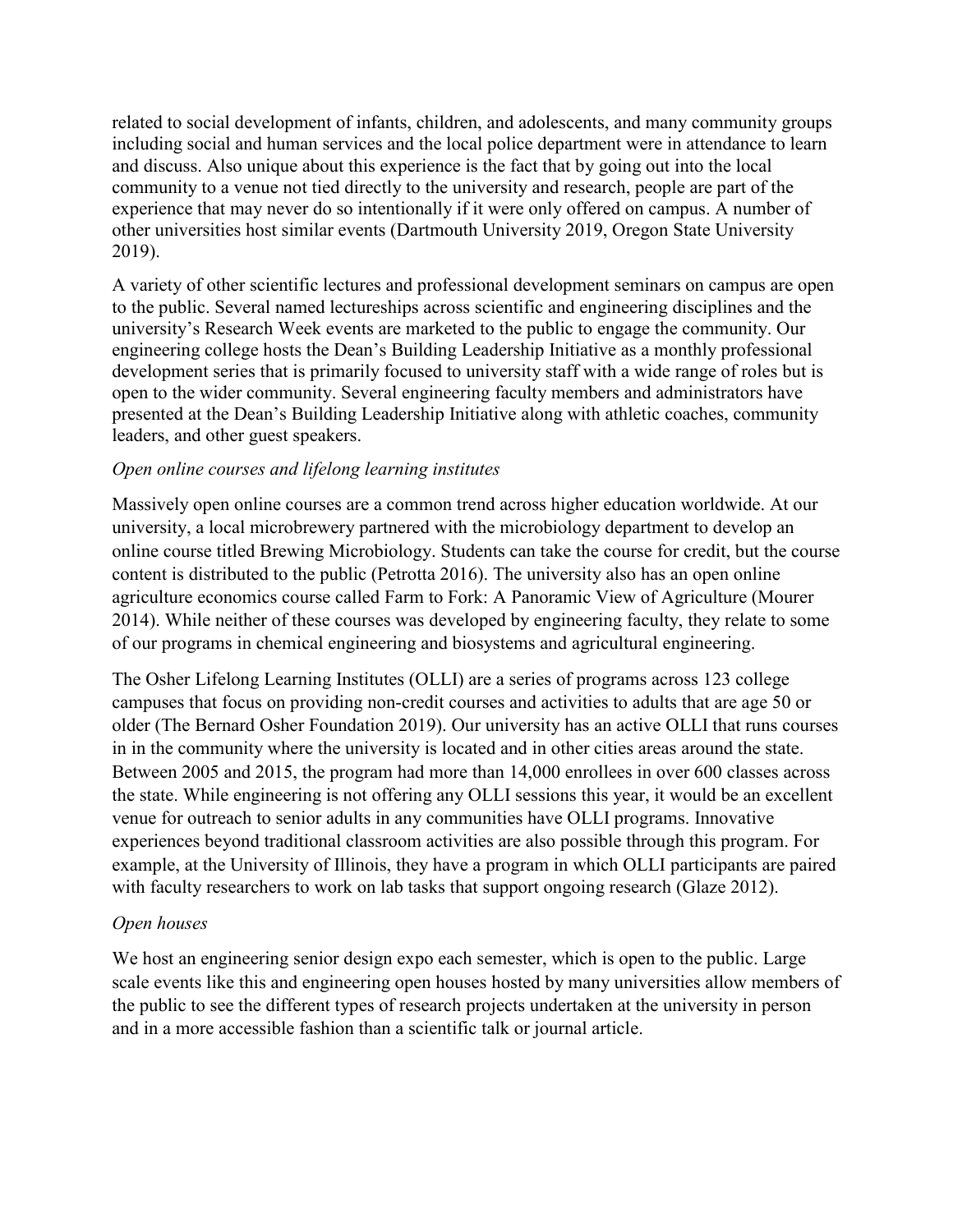related to social development of infants, children, and adolescents, and many community groups including social and human services and the local police department were in attendance to learn and discuss. Also unique about this experience is the fact that by going out into the local community to a venue not tied directly to the university and research, people are part of the experience that may never do so intentionally if it were only offered on campus. A number of other universities host similar events (Dartmouth University 2019, Oregon State University 2019).

A variety of other scientific lectures and professional development seminars on campus are open to the public. Several named lectureships across scientific and engineering disciplines and the university's Research Week events are marketed to the public to engage the community. Our engineering college hosts the Dean's Building Leadership Initiative as a monthly professional development series that is primarily focused to university staff with a wide range of roles but is open to the wider community. Several engineering faculty members and administrators have presented at the Dean's Building Leadership Initiative along with athletic coaches, community leaders, and other guest speakers.

#### *Open online courses and lifelong learning institutes*

Massively open online courses are a common trend across higher education worldwide. At our university, a local microbrewery partnered with the microbiology department to develop an online course titled Brewing Microbiology. Students can take the course for credit, but the course content is distributed to the public (Petrotta 2016). The university also has an open online agriculture economics course called Farm to Fork: A Panoramic View of Agriculture (Mourer 2014). While neither of these courses was developed by engineering faculty, they relate to some of our programs in chemical engineering and biosystems and agricultural engineering.

The Osher Lifelong Learning Institutes (OLLI) are a series of programs across 123 college campuses that focus on providing non-credit courses and activities to adults that are age 50 or older (The Bernard Osher Foundation 2019). Our university has an active OLLI that runs courses in in the community where the university is located and in other cities areas around the state. Between 2005 and 2015, the program had more than 14,000 enrollees in over 600 classes across the state. While engineering is not offering any OLLI sessions this year, it would be an excellent venue for outreach to senior adults in any communities have OLLI programs. Innovative experiences beyond traditional classroom activities are also possible through this program. For example, at the University of Illinois, they have a program in which OLLI participants are paired with faculty researchers to work on lab tasks that support ongoing research (Glaze 2012).

#### *Open houses*

We host an engineering senior design expo each semester, which is open to the public. Large scale events like this and engineering open houses hosted by many universities allow members of the public to see the different types of research projects undertaken at the university in person and in a more accessible fashion than a scientific talk or journal article.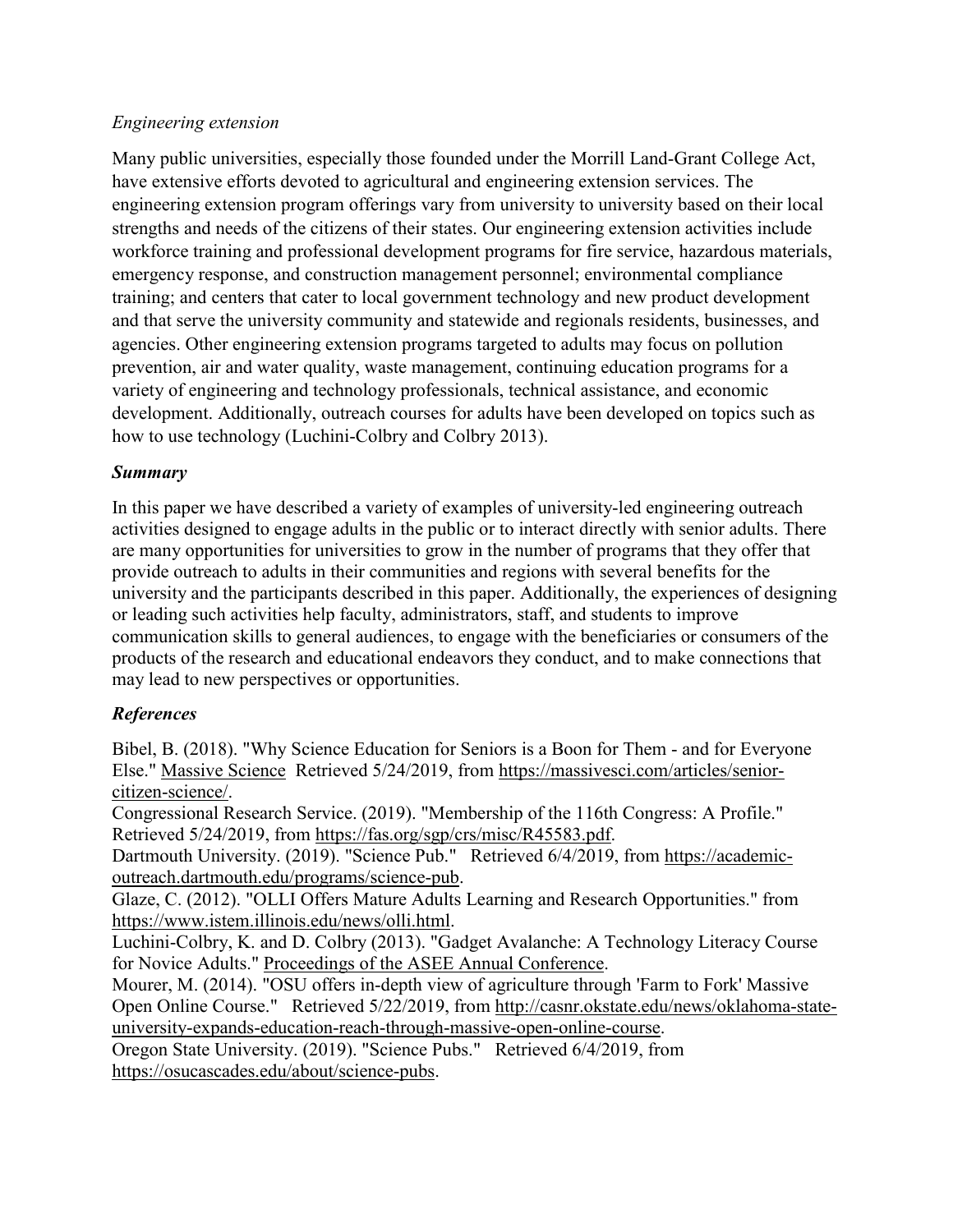#### *Engineering extension*

Many public universities, especially those founded under the Morrill Land-Grant College Act, have extensive efforts devoted to agricultural and engineering extension services. The engineering extension program offerings vary from university to university based on their local strengths and needs of the citizens of their states. Our engineering extension activities include workforce training and professional development programs for fire service, hazardous materials, emergency response, and construction management personnel; environmental compliance training; and centers that cater to local government technology and new product development and that serve the university community and statewide and regionals residents, businesses, and agencies. Other engineering extension programs targeted to adults may focus on pollution prevention, air and water quality, waste management, continuing education programs for a variety of engineering and technology professionals, technical assistance, and economic development. Additionally, outreach courses for adults have been developed on topics such as how to use technology (Luchini-Colbry and Colbry 2013).

### *Summary*

In this paper we have described a variety of examples of university-led engineering outreach activities designed to engage adults in the public or to interact directly with senior adults. There are many opportunities for universities to grow in the number of programs that they offer that provide outreach to adults in their communities and regions with several benefits for the university and the participants described in this paper. Additionally, the experiences of designing or leading such activities help faculty, administrators, staff, and students to improve communication skills to general audiences, to engage with the beneficiaries or consumers of the products of the research and educational endeavors they conduct, and to make connections that may lead to new perspectives or opportunities.

### *References*

Bibel, B. (2018). "Why Science Education for Seniors is a Boon for Them - and for Everyone Else." Massive Science Retrieved 5/24/2019, from [https://massivesci.com/articles/senior](https://massivesci.com/articles/senior-citizen-science/)[citizen-science/.](https://massivesci.com/articles/senior-citizen-science/)

Congressional Research Service. (2019). "Membership of the 116th Congress: A Profile." Retrieved 5/24/2019, from [https://fas.org/sgp/crs/misc/R45583.pdf.](https://fas.org/sgp/crs/misc/R45583.pdf)

Dartmouth University. (2019). "Science Pub." Retrieved 6/4/2019, from [https://academic](https://academic-outreach.dartmouth.edu/programs/science-pub)[outreach.dartmouth.edu/programs/science-pub.](https://academic-outreach.dartmouth.edu/programs/science-pub)

Glaze, C. (2012). "OLLI Offers Mature Adults Learning and Research Opportunities." from [https://www.istem.illinois.edu/news/olli.html.](https://www.istem.illinois.edu/news/olli.html)

Luchini-Colbry, K. and D. Colbry (2013). "Gadget Avalanche: A Technology Literacy Course for Novice Adults." Proceedings of the ASEE Annual Conference.

Mourer, M. (2014). "OSU offers in-depth view of agriculture through 'Farm to Fork' Massive Open Online Course." Retrieved 5/22/2019, from [http://casnr.okstate.edu/news/oklahoma-state](http://casnr.okstate.edu/news/oklahoma-state-university-expands-education-reach-through-massive-open-online-course)[university-expands-education-reach-through-massive-open-online-course.](http://casnr.okstate.edu/news/oklahoma-state-university-expands-education-reach-through-massive-open-online-course)

Oregon State University. (2019). "Science Pubs." Retrieved 6/4/2019, from [https://osucascades.edu/about/science-pubs.](https://osucascades.edu/about/science-pubs)